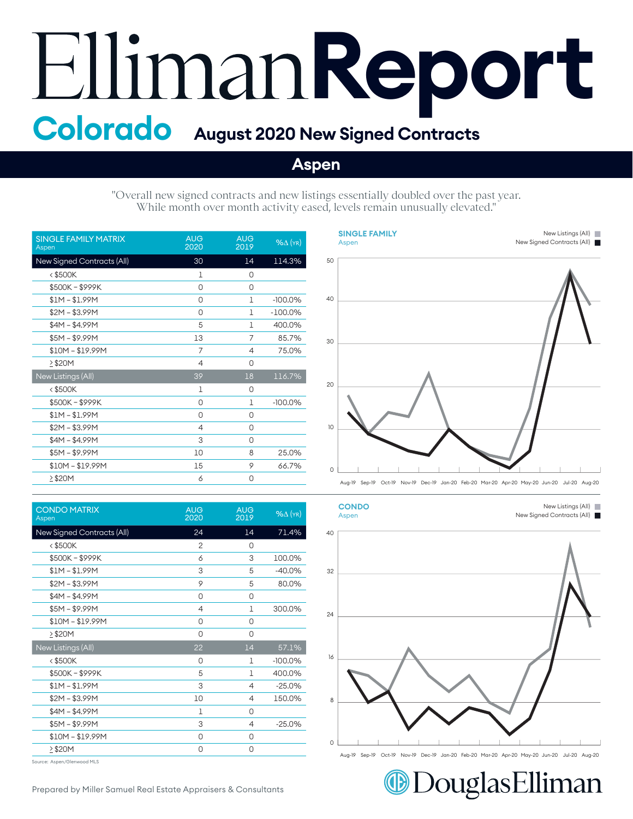## **Report Colorado August 2020 New Signed Contracts**

## **Aspen**

"Overall new signed contracts and new listings essentially doubled over the past year. While month over month activity eased, levels remain unusually elevated."

| <b>SINGLE FAMILY MATRIX</b><br>Aspen | <b>AUG</b><br>2020 | <b>AUG</b><br>2019 | $\frac{96}{\Delta}$ (YR) |
|--------------------------------------|--------------------|--------------------|--------------------------|
| New Signed Contracts (All)           | 30                 | 14                 | 114.3%                   |
| $<$ \$500K                           | 1                  | 0                  |                          |
| \$500K-\$999K                        | 0                  | 0                  |                          |
| $$1M - $1.99M$                       | 0                  | 1                  | $-100.0\%$               |
| $$2M - $3.99M$                       | 0                  | 1                  | $-100.0\%$               |
| $$4M - $4.99M$                       | 5                  | 1                  | 400.0%                   |
| $$5M - $9.99M$                       | 13                 | 7                  | 85.7%                    |
| $$10M - $19.99M$                     | 7                  | 4                  | 75.0%                    |
| >\$20M                               | $\overline{4}$     | 0                  |                          |
| New Listings (All)                   | 39                 | 18                 | 116.7%                   |
| $<$ \$500K                           | 1                  | 0                  |                          |
| \$500K-\$999K                        | 0                  | 1                  | $-100.0\%$               |
| $$1M - $1.99M$                       | 0                  | 0                  |                          |
| $$2M - $3.99M$                       | $\overline{4}$     | 0                  |                          |
| $$4M - $4.99M$                       | 3                  | 0                  |                          |
| $$5M - $9.99M$                       | 10                 | 8                  | 25.0%                    |
| $$10M - $19.99M$                     | 15                 | 9                  | 66.7%                    |
| >\$20M                               | 6                  | 0                  |                          |

| <b>CONDO MATRIX</b><br>Aspen | <b>AUG</b><br>2020 | <b>AUG</b><br>2019 | $%$ $\Delta$ (YR) |
|------------------------------|--------------------|--------------------|-------------------|
| New Signed Contracts (All)   | 24                 | 14                 | 71.4%             |
| <\$500K                      | 2                  | 0                  |                   |
| \$500K-\$999K                | 6                  | 3                  | 100.0%            |
| $$1M - $1.99M$               | 3                  | 5                  | $-40.0%$          |
| $$2M - $3.99M$               | 9                  | 5                  | 80.0%             |
| $$4M - $4.99M$               | 0                  | 0                  |                   |
| $$5M - $9.99M$               | $\overline{4}$     | 1                  | 300.0%            |
| $$10M - $19.99M$             | 0                  | 0                  |                   |
| $\geq$ \$20M                 | 0                  | 0                  |                   |
| New Listings (All)           | 22                 | 14                 | 57.1%             |
| <\$500K                      | 0                  | $\mathbf{1}$       | $-100.0%$         |
| \$500K-\$999K                | 5                  | $\mathbf{1}$       | 400.0%            |
| $$1M - $1.99M$               | 3                  | 4                  | $-25.0%$          |
| $$2M - $3.99M$               | 10                 | 4                  | 150.0%            |
| $$4M - $4.99M$               | 1                  | 0                  |                   |
| $$5M - $9.99M$               | 3                  | 4                  | $-25.0%$          |
| $$10M - $19.99M$             | 0                  | 0                  |                   |
| 2\$20M                       | 0                  | 0                  |                   |
|                              |                    |                    |                   |

Source: Aspen/Glenwood MLS





New Listings (All) New Listings (All)

New Listings (All) New Listings (All)



DouglasElliman